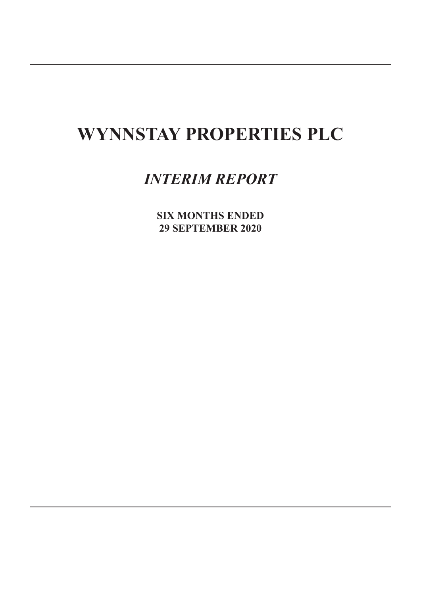# *INTERIM REPORT*

**SIX MONTHS ENDED 29 SEPTEMBER 2020**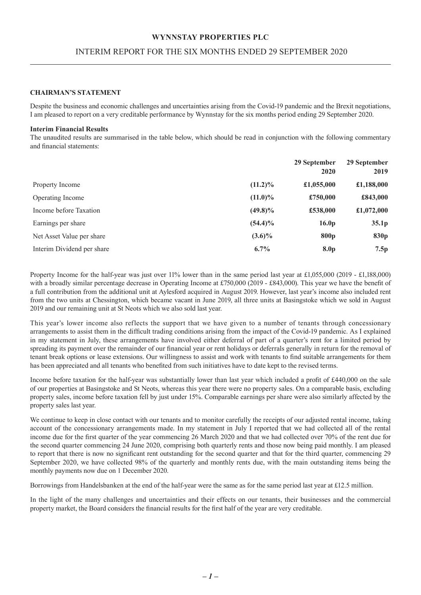## INTERIM REPORT FOR THE SIX MONTHS ENDED 29 SEPTEMBER 2020

#### **CHAIRMAN'S STATEMENT**

 $\overline{a}$ 

Despite the business and economic challenges and uncertainties arising from the Covid-19 pandemic and the Brexit negotiations, I am pleased to report on a very creditable performance by Wynnstay for the six months period ending 29 September 2020.

#### **Interim Financial Results**

The unaudited results are summarised in the table below, which should be read in conjunction with the following commentary and financial statements:

|                            |            | 29 September      | 29 September      |  |
|----------------------------|------------|-------------------|-------------------|--|
|                            |            | 2020              | 2019              |  |
| Property Income            | $(11.2)\%$ | £1,055,000        | £1,188,000        |  |
| Operating Income           | $(11.0)\%$ | £750,000          | £843,000          |  |
| Income before Taxation     | $(49.8)\%$ | £538,000          | £1,072,000        |  |
| Earnings per share         | $(54.4)\%$ | 16.0 <sub>p</sub> | 35.1 <sub>p</sub> |  |
| Net Asset Value per share  | $(3.6)\%$  | 800 <sub>p</sub>  | 830 <sub>p</sub>  |  |
| Interim Dividend per share | $6.7\%$    | 8.0p              | 7.5p              |  |

Property Income for the half-year was just over 11% lower than in the same period last year at £1,055,000 (2019 - £1,188,000) with a broadly similar percentage decrease in Operating Income at £750,000 (2019 - £843,000). This year we have the benefit of a full contribution from the additional unit at Aylesford acquired in August 2019. However, last year's income also included rent from the two units at Chessington, which became vacant in June 2019, all three units at Basingstoke which we sold in August 2019 and our remaining unit at St Neots which we also sold last year.

This year's lower income also reflects the support that we have given to a number of tenants through concessionary arrangements to assist them in the difficult trading conditions arising from the impact of the Covid-19 pandemic. As I explained in my statement in July, these arrangements have involved either deferral of part of a quarter's rent for a limited period by spreading its payment over the remainder of our financial year or rent holidays or deferrals generally in return for the removal of tenant break options or lease extensions. Our willingness to assist and work with tenants to find suitable arrangements for them has been appreciated and all tenants who benefited from such initiatives have to date kept to the revised terms.

Income before taxation for the half-year was substantially lower than last year which included a profit of £440,000 on the sale of our properties at Basingstoke and St Neots, whereas this year there were no property sales. On a comparable basis, excluding property sales, income before taxation fell by just under 15%. Comparable earnings per share were also similarly affected by the property sales last year.

We continue to keep in close contact with our tenants and to monitor carefully the receipts of our adjusted rental income, taking account of the concessionary arrangements made. In my statement in July I reported that we had collected all of the rental income due for the first quarter of the year commencing 26 March 2020 and that we had collected over 70% of the rent due for the second quarter commencing 24 June 2020, comprising both quarterly rents and those now being paid monthly. I am pleased to report that there is now no significant rent outstanding for the second quarter and that for the third quarter, commencing 29 September 2020, we have collected 98% of the quarterly and monthly rents due, with the main outstanding items being the monthly payments now due on 1 December 2020.

Borrowings from Handelsbanken at the end of the half-year were the same as for the same period last year at £12.5 million.

In the light of the many challenges and uncertainties and their effects on our tenants, their businesses and the commercial property market, the Board considers the financial results for the first half of the year are very creditable.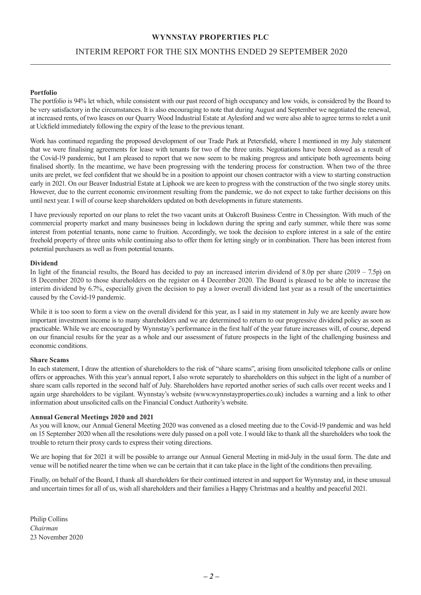## INTERIM REPORT FOR THE SIX MONTHS ENDED 29 SEPTEMBER 2020

#### **Portfolio**

 $\overline{a}$ 

The portfolio is 94% let which, while consistent with our past record of high occupancy and low voids, is considered by the Board to be very satisfactory in the circumstances. It is also encouraging to note that during August and September we negotiated the renewal, at increased rents, of two leases on our Quarry Wood Industrial Estate at Aylesford and we were also able to agree terms to relet a unit at Uckfield immediately following the expiry of the lease to the previous tenant.

Work has continued regarding the proposed development of our Trade Park at Petersfield, where I mentioned in my July statement that we were finalising agreements for lease with tenants for two of the three units. Negotiations have been slowed as a result of the Covid-19 pandemic, but I am pleased to report that we now seem to be making progress and anticipate both agreements being finalised shortly. In the meantime, we have been progressing with the tendering process for construction. When two of the three units are prelet, we feel confident that we should be in a position to appoint our chosen contractor with a view to starting construction early in 2021. On our Beaver Industrial Estate at Liphook we are keen to progress with the construction of the two single storey units. However, due to the current economic environment resulting from the pandemic, we do not expect to take further decisions on this until next year. I will of course keep shareholders updated on both developments in future statements.

I have previously reported on our plans to relet the two vacant units at Oakcroft Business Centre in Chessington. With much of the commercial property market and many businesses being in lockdown during the spring and early summer, while there was some interest from potential tenants, none came to fruition. Accordingly, we took the decision to explore interest in a sale of the entire freehold property of three units while continuing also to offer them for letting singly or in combination. There has been interest from potential purchasers as well as from potential tenants.

#### **Dividend**

In light of the financial results, the Board has decided to pay an increased interim dividend of 8.0p per share (2019 – 7.5p) on 18 December 2020 to those shareholders on the register on 4 December 2020. The Board is pleased to be able to increase the interim dividend by 6.7%, especially given the decision to pay a lower overall dividend last year as a result of the uncertainties caused by the Covid-19 pandemic.

While it is too soon to form a view on the overall dividend for this year, as I said in my statement in July we are keenly aware how important investment income is to many shareholders and we are determined to return to our progressive dividend policy as soon as practicable. While we are encouraged by Wynnstay's performance in the first half of the year future increases will, of course, depend on our financial results for the year as a whole and our assessment of future prospects in the light of the challenging business and economic conditions.

#### **Share Scams**

In each statement, I draw the attention of shareholders to the risk of "share scams", arising from unsolicited telephone calls or online offers or approaches. With this year's annual report, I also wrote separately to shareholders on this subject in the light of a number of share scam calls reported in the second half of July. Shareholders have reported another series of such calls over recent weeks and I again urge shareholders to be vigilant. Wynnstay's website (www.wynnstayproperties.co.uk) includes a warning and a link to other information about unsolicited calls on the Financial Conduct Authority's website.

### **Annual General Meetings 2020 and 2021**

As you will know, our Annual General Meeting 2020 was convened as a closed meeting due to the Covid-19 pandemic and was held on 15 September 2020 when all the resolutions were duly passed on a poll vote. I would like to thank all the shareholders who took the trouble to return their proxy cards to express their voting directions.

We are hoping that for 2021 it will be possible to arrange our Annual General Meeting in mid-July in the usual form. The date and venue will be notified nearer the time when we can be certain that it can take place in the light of the conditions then prevailing.

Finally, on behalf of the Board, I thank all shareholders for their continued interest in and support for Wynnstay and, in these unusual and uncertain times for all of us, wish all shareholders and their families a Happy Christmas and a healthy and peaceful 2021.

Philip Collins *Chairman* 23 November 2020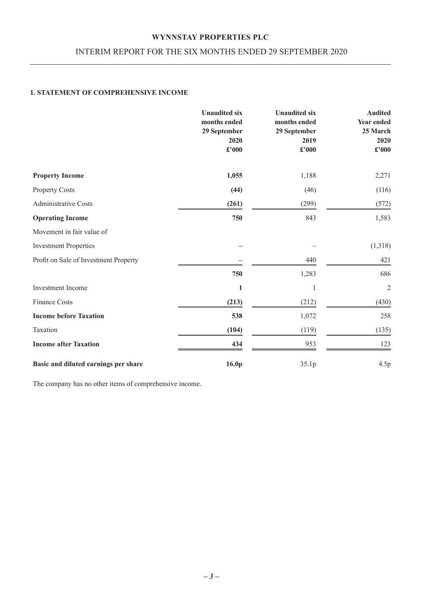# INTERIM REPORT FOR THE SIX MONTHS ENDED 29 SEPTEMBER 2020

## **1. STATEMENT OF COMPREHENSIVE INCOME**

 $\overline{a}$ 

|                                       | <b>Unaudited six</b><br>months ended<br>29 September<br>2020<br>$\pounds 000$ | <b>Unaudited six</b><br>months ended<br>29 September<br>2019<br>$\pounds$ '000 | <b>Audited</b><br>Year ended<br>25 March<br>2020<br>$\pounds 000$ |
|---------------------------------------|-------------------------------------------------------------------------------|--------------------------------------------------------------------------------|-------------------------------------------------------------------|
| <b>Property Income</b>                | 1,055                                                                         | 1,188                                                                          | 2,271                                                             |
| <b>Property Costs</b>                 | (44)                                                                          | (46)                                                                           | (116)                                                             |
| <b>Administrative Costs</b>           | (261)                                                                         | (299)                                                                          | (572)                                                             |
| <b>Operating Income</b>               | 750                                                                           | 843                                                                            | 1,583                                                             |
| Movement in fair value of             |                                                                               |                                                                                |                                                                   |
| <b>Investment Properties</b>          |                                                                               |                                                                                | (1,318)                                                           |
| Profit on Sale of Investment Property |                                                                               | 440                                                                            | 421                                                               |
|                                       | 750                                                                           | 1,283                                                                          | 686                                                               |
| Investment Income                     | $\mathbf{1}$                                                                  | $\mathbf{1}$                                                                   | $\overline{2}$                                                    |
| Finance Costs                         | (213)                                                                         | (212)                                                                          | (430)                                                             |
| <b>Income before Taxation</b>         | 538                                                                           | 1,072                                                                          | 258                                                               |
| Taxation                              | (104)                                                                         | (119)                                                                          | (135)                                                             |
| <b>Income after Taxation</b>          | 434                                                                           | 953                                                                            | 123                                                               |
| Basic and diluted earnings per share  | 16.0 <sub>p</sub>                                                             | 35.1p                                                                          | 4.5p                                                              |

The company has no other items of comprehensive income.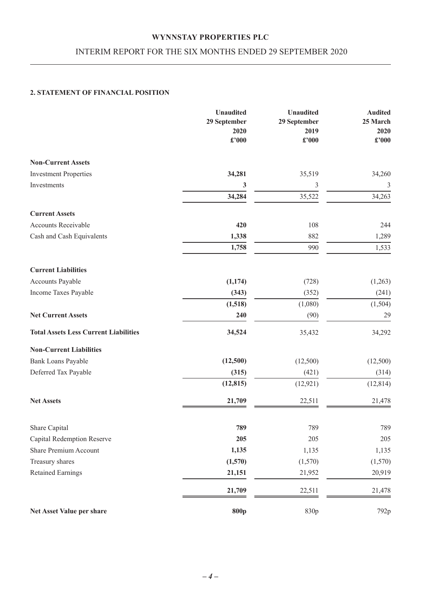# INTERIM REPORT FOR THE SIX MONTHS ENDED 29 SEPTEMBER 2020

## **2. STATEMENT OF FINANCIAL POSITION**

 $\overline{a}$ 

|                                              | <b>Unaudited</b><br>29 September<br>2020<br>$\pounds 000$ | <b>Unaudited</b><br>29 September<br>2019<br>£'000 | <b>Audited</b><br>25 March<br>2020<br>$\pounds 000$ |
|----------------------------------------------|-----------------------------------------------------------|---------------------------------------------------|-----------------------------------------------------|
| <b>Non-Current Assets</b>                    |                                                           |                                                   |                                                     |
| <b>Investment Properties</b>                 | 34,281                                                    | 35,519                                            | 34,260                                              |
| Investments                                  | 3                                                         | 3                                                 | $\mathfrak{Z}$                                      |
|                                              | 34,284                                                    | 35,522                                            | 34,263                                              |
| <b>Current Assets</b>                        |                                                           |                                                   |                                                     |
| Accounts Receivable                          | 420                                                       | 108                                               | 244                                                 |
| Cash and Cash Equivalents                    | 1,338                                                     | 882                                               | 1,289                                               |
|                                              | 1,758                                                     | 990                                               | 1,533                                               |
| <b>Current Liabilities</b>                   |                                                           |                                                   |                                                     |
| Accounts Payable                             | (1, 174)                                                  | (728)                                             | (1,263)                                             |
| Income Taxes Payable                         | (343)                                                     | (352)                                             | (241)                                               |
|                                              | (1,518)                                                   | (1,080)                                           | (1,504)                                             |
| <b>Net Current Assets</b>                    | 240                                                       | (90)                                              | 29                                                  |
| <b>Total Assets Less Current Liabilities</b> | 34,524                                                    | 35,432                                            | 34,292                                              |
| <b>Non-Current Liabilities</b>               |                                                           |                                                   |                                                     |
| Bank Loans Payable                           | (12,500)                                                  | (12,500)                                          | (12,500)                                            |
| Deferred Tax Payable                         | (315)                                                     | (421)                                             | (314)                                               |
|                                              | (12, 815)                                                 | (12, 921)                                         | (12, 814)                                           |
| <b>Net Assets</b>                            | 21,709                                                    | 22,511                                            | 21,478                                              |
| Share Capital                                | 789                                                       | 789                                               | 789                                                 |
| <b>Capital Redemption Reserve</b>            | 205                                                       | 205                                               | 205                                                 |
| <b>Share Premium Account</b>                 | 1,135                                                     | 1,135                                             | 1,135                                               |
| Treasury shares                              | (1,570)                                                   | (1,570)                                           | (1,570)                                             |
| <b>Retained Earnings</b>                     | 21,151                                                    | 21,952                                            | 20,919                                              |
|                                              | 21,709                                                    | 22,511                                            | 21,478                                              |
| Net Asset Value per share                    | 800p                                                      | 830p                                              | 792p                                                |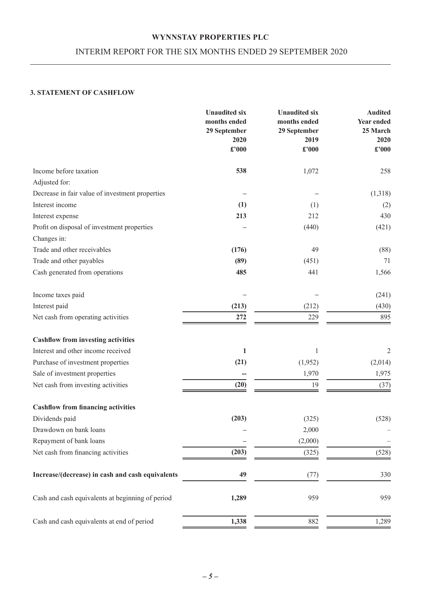# INTERIM REPORT FOR THE SIX MONTHS ENDED 29 SEPTEMBER 2020

## **3. STATEMENT OF CASHFLOW**

 $\overline{a}$ 

|                                                  | <b>Unaudited six</b><br>months ended<br>29 September<br>2020 | <b>Unaudited six</b><br>months ended<br>29 September<br>2019 | <b>Audited</b><br>Year ended<br>25 March<br>2020 |
|--------------------------------------------------|--------------------------------------------------------------|--------------------------------------------------------------|--------------------------------------------------|
|                                                  | $\pounds$ '000                                               | $\pounds 000$                                                | £'000                                            |
| Income before taxation                           | 538                                                          | 1,072                                                        | 258                                              |
| Adjusted for:                                    |                                                              |                                                              |                                                  |
| Decrease in fair value of investment properties  |                                                              |                                                              | (1,318)                                          |
| Interest income                                  | (1)                                                          | (1)                                                          | (2)                                              |
| Interest expense                                 | 213                                                          | 212                                                          | 430                                              |
| Profit on disposal of investment properties      |                                                              | (440)                                                        | (421)                                            |
| Changes in:                                      |                                                              |                                                              |                                                  |
| Trade and other receivables                      | (176)                                                        | 49                                                           | (88)                                             |
| Trade and other payables                         | (89)                                                         | (451)                                                        | 71                                               |
| Cash generated from operations                   | 485                                                          | 441                                                          | 1,566                                            |
| Income taxes paid                                |                                                              |                                                              | (241)                                            |
| Interest paid                                    | (213)                                                        | (212)                                                        | (430)                                            |
| Net cash from operating activities               | 272                                                          | 229                                                          | 895                                              |
| <b>Cashflow from investing activities</b>        |                                                              |                                                              |                                                  |
| Interest and other income received               | 1                                                            | 1                                                            | 2                                                |
| Purchase of investment properties                | (21)                                                         | (1,952)                                                      | (2,014)                                          |
| Sale of investment properties                    |                                                              | 1,970                                                        | 1,975                                            |
| Net cash from investing activities               | (20)                                                         | 19                                                           | (37)                                             |
| <b>Cashflow from financing activities</b>        |                                                              |                                                              |                                                  |
| Dividends paid                                   | (203)                                                        | (325)                                                        | (528)                                            |
| Drawdown on bank loans                           |                                                              | 2,000                                                        |                                                  |
| Repayment of bank loans                          |                                                              | (2,000)                                                      |                                                  |
| Net cash from financing activities               | (203)                                                        | (325)                                                        | (528)                                            |
| Increase/(decrease) in cash and cash equivalents | 49                                                           | (77)                                                         | 330                                              |
| Cash and cash equivalents at beginning of period | 1,289                                                        | 959                                                          | 959                                              |
| Cash and cash equivalents at end of period       | 1,338                                                        | 882                                                          | 1,289                                            |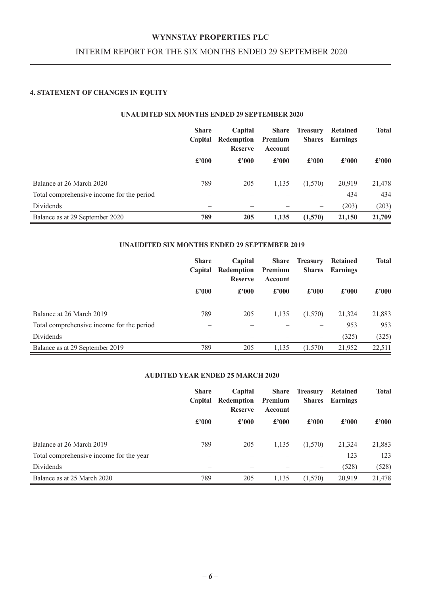## INTERIM REPORT FOR THE SIX MONTHS ENDED 29 SEPTEMBER 2020

## **4. STATEMENT OF CHANGES IN EQUITY**

 $\overline{a}$ 

|                                           | <b>Share</b> | Capital<br>Capital Redemption<br><b>Reserve</b> | Share<br>Premium<br><b>Account</b> | <b>Treasury</b><br><b>Shares</b> | <b>Retained</b><br>Earnings | <b>Total</b>   |
|-------------------------------------------|--------------|-------------------------------------------------|------------------------------------|----------------------------------|-----------------------------|----------------|
|                                           | £'000        | £'000                                           | £'000                              | £'000                            | £'000                       | $\pounds$ '000 |
| Balance at 26 March 2020                  | 789          | 205                                             | 1,135                              | (1,570)                          | 20,919                      | 21,478         |
| Total comprehensive income for the period |              |                                                 |                                    |                                  | 434                         | 434            |
| Dividends                                 |              |                                                 |                                    |                                  | (203)                       | (203)          |
| Balance as at 29 September 2020           | 789          | 205                                             | 1,135                              | (1,570)                          | 21,150                      | 21,709         |

## **UNAUDITED SIX MONTHS ENDED 29 SEPTEMBER 2020**

#### **UNAUDITED SIX MONTHS ENDED 29 SEPTEMBER 2019**

|                                           | <b>Share</b><br>Capital | Capital<br><b>Redemption</b><br>Reserve | <b>Share</b><br><b>Premium</b><br><b>Account</b> | <b>Treasury</b><br><b>Shares</b> | <b>Retained</b><br><b>Earnings</b> | <b>Total</b>   |
|-------------------------------------------|-------------------------|-----------------------------------------|--------------------------------------------------|----------------------------------|------------------------------------|----------------|
|                                           | £'000                   | £'000                                   | £'000                                            | £'000                            | £'000                              | $\pounds$ '000 |
| Balance at 26 March 2019                  | 789                     | 205                                     | 1,135                                            | (1,570)                          | 21,324                             | 21,883         |
| Total comprehensive income for the period |                         |                                         |                                                  |                                  | 953                                | 953            |
| Dividends                                 |                         |                                         |                                                  |                                  | (325)                              | (325)          |
| Balance as at 29 September 2019           | 789                     | 205                                     | 1,135                                            | (1,570)                          | 21,952                             | 22,511         |

## **AUDITED YEAR ENDED 25 MARCH 2020**

|                                         | <b>Share</b><br>Capital | Capital<br>Redemption<br><b>Reserve</b> | <b>Share</b><br>Premium<br><b>Account</b> | <b>Treasury</b><br><b>Shares</b> | <b>Retained</b><br><b>Earnings</b> | <b>Total</b>   |
|-----------------------------------------|-------------------------|-----------------------------------------|-------------------------------------------|----------------------------------|------------------------------------|----------------|
|                                         | £'000                   | £2000                                   | £'000                                     | £2000                            | £2000                              | $\pounds$ '000 |
| Balance at 26 March 2019                | 789                     | 205                                     | 1,135                                     | (1,570)                          | 21,324                             | 21,883         |
| Total comprehensive income for the year |                         |                                         |                                           |                                  | 123                                | 123            |
| Dividends                               |                         |                                         |                                           | —                                | (528)                              | (528)          |
| Balance as at 25 March 2020             | 789                     | 205                                     | 1,135                                     | (1,570)                          | 20,919                             | 21,478         |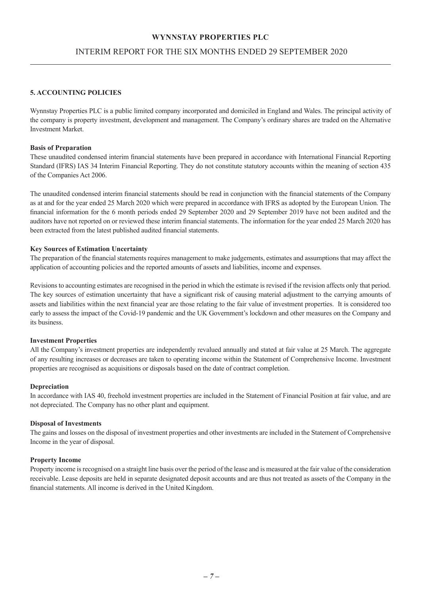## INTERIM REPORT FOR THE SIX MONTHS ENDED 29 SEPTEMBER 2020

### **5. ACCOUNTING POLICIES**

Wynnstay Properties PLC is a public limited company incorporated and domiciled in England and Wales. The principal activity of the company is property investment, development and management. The Company's ordinary shares are traded on the Alternative Investment Market.

#### **Basis of Preparation**

 $\overline{a}$ 

These unaudited condensed interim financial statements have been prepared in accordance with International Financial Reporting Standard (IFRS) IAS 34 Interim Financial Reporting. They do not constitute statutory accounts within the meaning of section 435 of the Companies Act 2006.

The unaudited condensed interim financial statements should be read in conjunction with the financial statements of the Company as at and for the year ended 25 March 2020 which were prepared in accordance with IFRS as adopted by the European Union. The financial information for the 6 month periods ended 29 September 2020 and 29 September 2019 have not been audited and the auditors have not reported on or reviewed these interim financial statements. The information for the year ended 25 March 2020 has been extracted from the latest published audited financial statements.

#### **Key Sources of Estimation Uncertainty**

The preparation of the financial statements requires management to make judgements, estimates and assumptions that may affect the application of accounting policies and the reported amounts of assets and liabilities, income and expenses.

Revisions to accounting estimates are recognised in the period in which the estimate is revised if the revision affects only that period. The key sources of estimation uncertainty that have a significant risk of causing material adjustment to the carrying amounts of assets and liabilities within the next financial year are those relating to the fair value of investment properties. It is considered too early to assess the impact of the Covid-19 pandemic and the UK Government's lockdown and other measures on the Company and its business.

#### **Investment Properties**

All the Company's investment properties are independently revalued annually and stated at fair value at 25 March. The aggregate of any resulting increases or decreases are taken to operating income within the Statement of Comprehensive Income. Investment properties are recognised as acquisitions or disposals based on the date of contract completion.

#### **Depreciation**

In accordance with IAS 40, freehold investment properties are included in the Statement of Financial Position at fair value, and are not depreciated. The Company has no other plant and equipment.

#### **Disposal of Investments**

The gains and losses on the disposal of investment properties and other investments are included in the Statement of Comprehensive Income in the year of disposal.

#### **Property Income**

Property income is recognised on a straight line basis over the period of the lease and is measured at the fair value of the consideration receivable. Lease deposits are held in separate designated deposit accounts and are thus not treated as assets of the Company in the financial statements. All income is derived in the United Kingdom.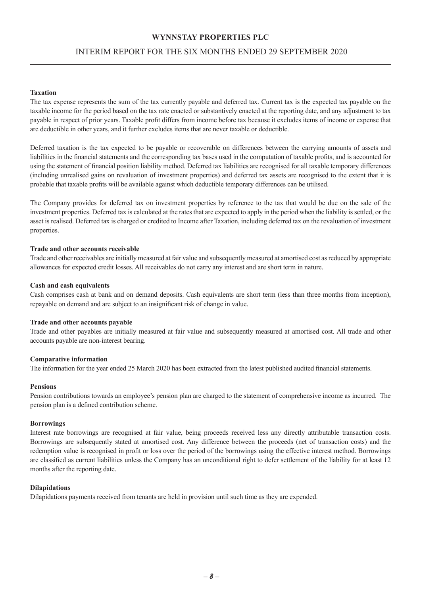## INTERIM REPORT FOR THE SIX MONTHS ENDED 29 SEPTEMBER 2020

#### **Taxation**

 $\overline{a}$ 

The tax expense represents the sum of the tax currently payable and deferred tax. Current tax is the expected tax payable on the taxable income for the period based on the tax rate enacted or substantively enacted at the reporting date, and any adjustment to tax payable in respect of prior years. Taxable profit differs from income before tax because it excludes items of income or expense that are deductible in other years, and it further excludes items that are never taxable or deductible.

Deferred taxation is the tax expected to be payable or recoverable on differences between the carrying amounts of assets and liabilities in the financial statements and the corresponding tax bases used in the computation of taxable profits, and is accounted for using the statement of financial position liability method. Deferred tax liabilities are recognised for all taxable temporary differences (including unrealised gains on revaluation of investment properties) and deferred tax assets are recognised to the extent that it is probable that taxable profits will be available against which deductible temporary differences can be utilised.

The Company provides for deferred tax on investment properties by reference to the tax that would be due on the sale of the investment properties. Deferred tax is calculated at the rates that are expected to apply in the period when the liability is settled, or the asset is realised. Deferred tax is charged or credited to Income after Taxation, including deferred tax on the revaluation of investment properties.

#### **Trade and other accounts receivable**

Trade and other receivables are initially measured at fair value and subsequently measured at amortised cost as reduced by appropriate allowances for expected credit losses. All receivables do not carry any interest and are short term in nature.

#### **Cash and cash equivalents**

Cash comprises cash at bank and on demand deposits. Cash equivalents are short term (less than three months from inception), repayable on demand and are subject to an insignificant risk of change in value.

#### **Trade and other accounts payable**

Trade and other payables are initially measured at fair value and subsequently measured at amortised cost. All trade and other accounts payable are non-interest bearing.

#### **Comparative information**

The information for the year ended 25 March 2020 has been extracted from the latest published audited financial statements.

#### **Pensions**

Pension contributions towards an employee's pension plan are charged to the statement of comprehensive income as incurred. The pension plan is a defined contribution scheme.

#### **Borrowings**

Interest rate borrowings are recognised at fair value, being proceeds received less any directly attributable transaction costs. Borrowings are subsequently stated at amortised cost. Any difference between the proceeds (net of transaction costs) and the redemption value is recognised in profit or loss over the period of the borrowings using the effective interest method. Borrowings are classified as current liabilities unless the Company has an unconditional right to defer settlement of the liability for at least 12 months after the reporting date.

#### **Dilapidations**

Dilapidations payments received from tenants are held in provision until such time as they are expended.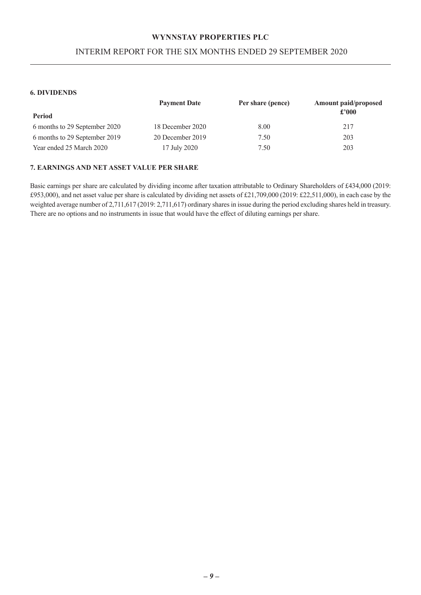## INTERIM REPORT FOR THE SIX MONTHS ENDED 29 SEPTEMBER 2020

## **6. DIVIDENDS**

 $\overline{a}$ 

|                               | <b>Payment Date</b> | Per share (pence) | <b>Amount paid/proposed</b><br>£'000 |
|-------------------------------|---------------------|-------------------|--------------------------------------|
| Period                        |                     |                   |                                      |
| 6 months to 29 September 2020 | 18 December 2020    | 8.00              | 217                                  |
| 6 months to 29 September 2019 | 20 December 2019    | 7.50              | 203                                  |
| Year ended 25 March 2020      | 17 July 2020        | 7.50              | 203                                  |

## **7. EARNINGS AND NET ASSET VALUE PER SHARE**

Basic earnings per share are calculated by dividing income after taxation attributable to Ordinary Shareholders of £434,000 (2019: £953,000), and net asset value per share is calculated by dividing net assets of £21,709,000 (2019: £22,511,000), in each case by the weighted average number of 2,711,617 (2019: 2,711,617) ordinary shares in issue during the period excluding shares held in treasury. There are no options and no instruments in issue that would have the effect of diluting earnings per share.